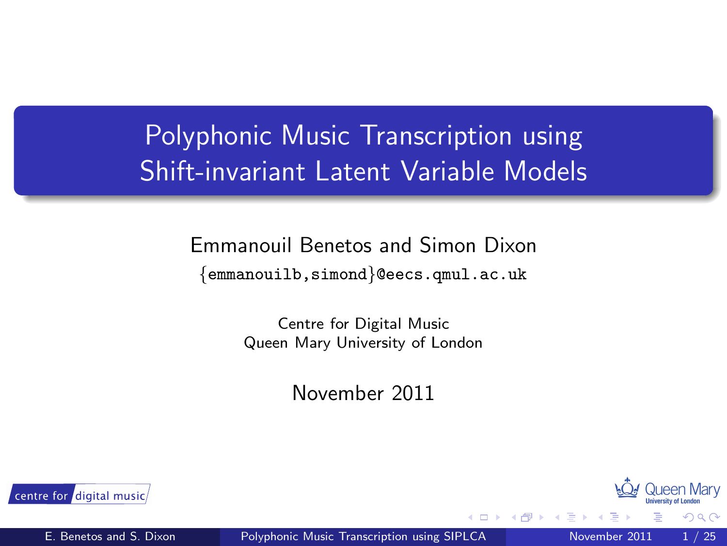### Polyphonic Music Transcription using Shift-invariant Latent Variable Models

## Emmanouil Benetos and Simon Dixon

{emmanouilb,simond}@eecs.qmul.ac.uk

Centre for Digital Music Queen Mary University of London

November 2011



<span id="page-0-0"></span>つへへ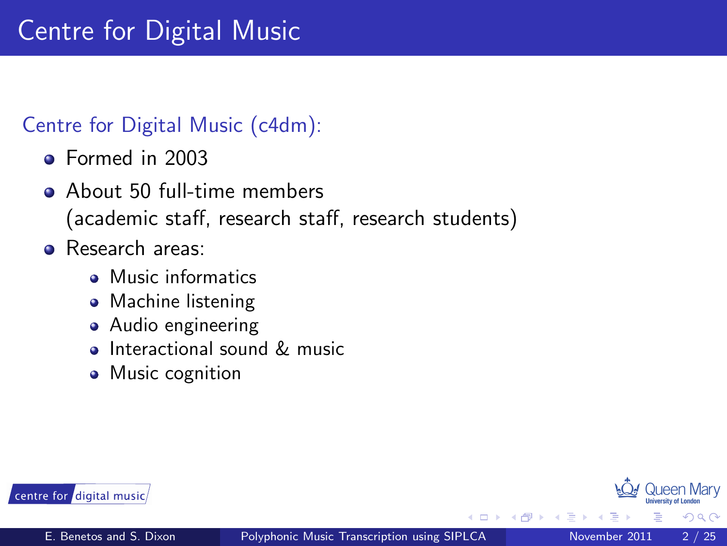## Centre for Digital Music

#### Centre for Digital Music (c4dm):

- Formed in 2003
- About 50 full-time members  $\bullet$ (academic staff, research staff, research students)
- **•** Research areas:
	- Music informatics
	- Machine listening
	- Audio engineering
	- Interactional sound & music  $\bullet$
	- Music cognition



 $\Omega$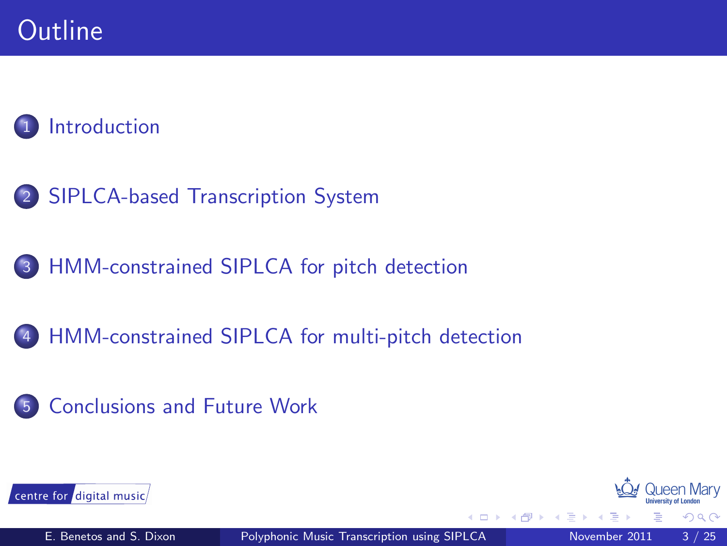### **[Introduction](#page-3-0)**

- 2 [SIPLCA-based Transcription System](#page-8-0)
- 3 [HMM-constrained SIPLCA for pitch detection](#page-13-0)
- 4 [HMM-constrained SIPLCA for multi-pitch detection](#page-21-0)
- 5 [Conclusions and Future Work](#page-24-0)





 $\Omega$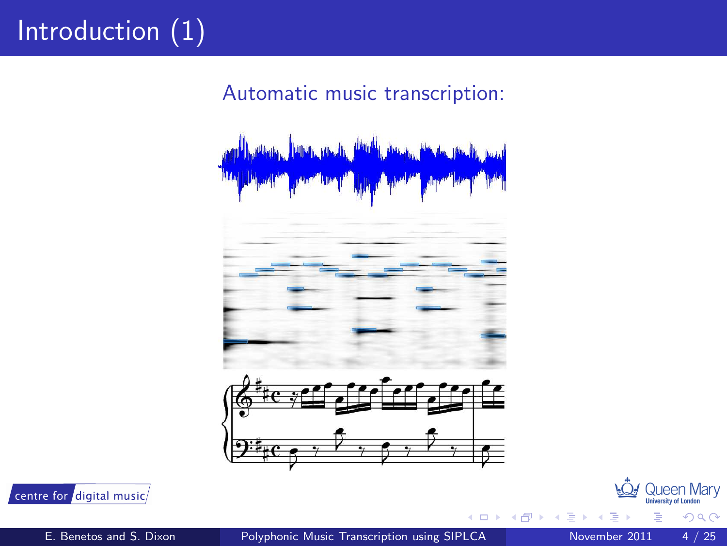# Introduction (1)

Automatic music transcription:



centre for digital music

Queen Mary

<span id="page-3-0"></span> $2Q$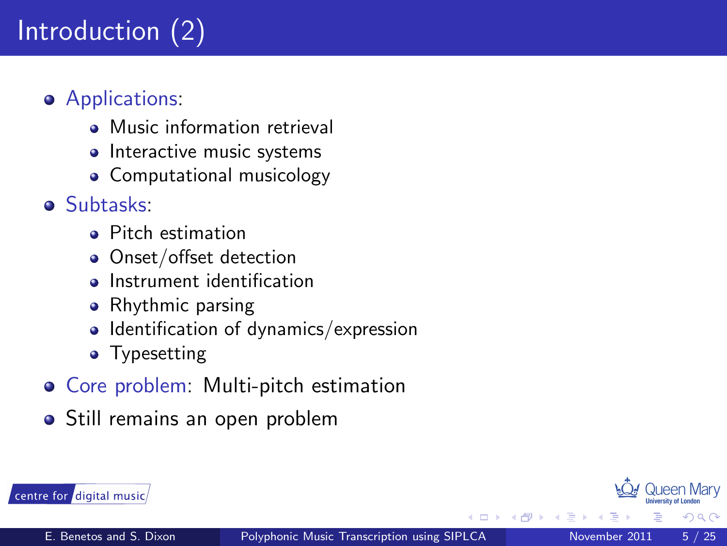# Introduction (2)

#### **•** Applications:

- Music information retrieval
- Interactive music systems
- Computational musicology

#### Subtasks:

- **Pitch estimation**
- Onset/offset detection
- Instrument identification  $\Delta$
- Rhythmic parsing
- $\bullet$  Identification of dynamics/expression
- Typesetting
- **Core problem: Multi-pitch estimation**
- Still remains an open problem



 $\Omega$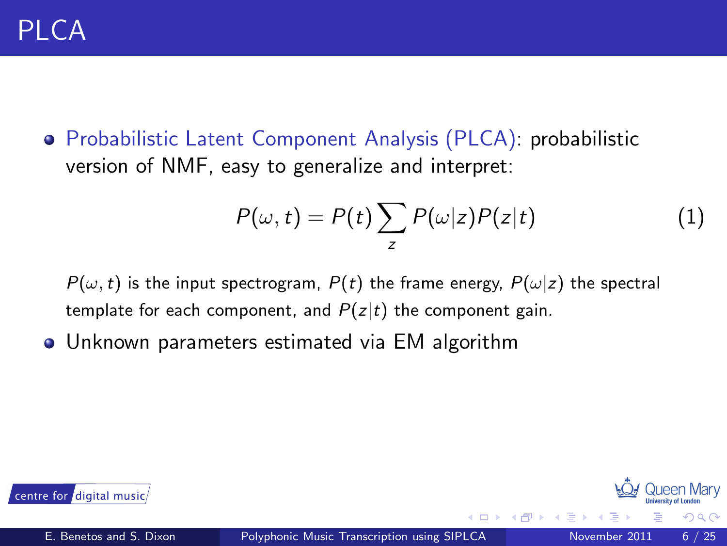Probabilistic Latent Component Analysis (PLCA): probabilistic version of NMF, easy to generalize and interpret:

$$
P(\omega, t) = P(t) \sum_{z} P(\omega|z) P(z|t)
$$
 (1)

 $P(\omega, t)$  is the input spectrogram,  $P(t)$  the frame energy,  $P(\omega|z)$  the spectral template for each component, and  $P(z|t)$  the component gain.

Unknown parameters estimated via EM algorithm  $\bullet$ 



 $\cap$  Q  $\cap$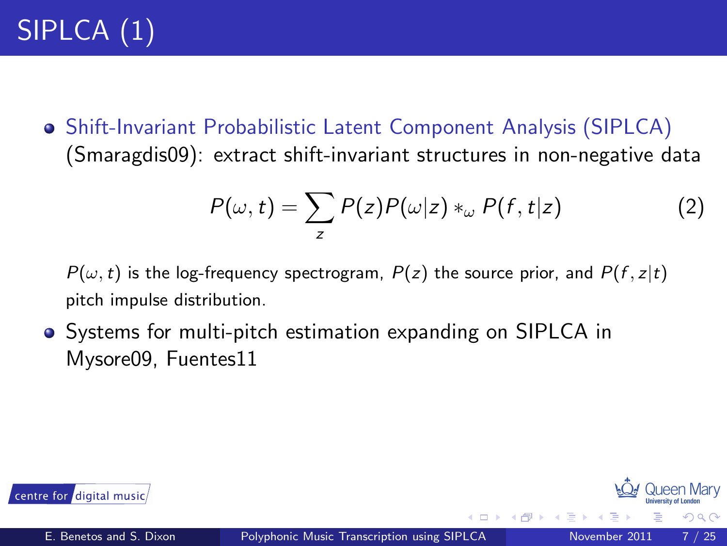Shift-Invariant Probabilistic Latent Component Analysis (SIPLCA) (Smaragdis09): extract shift-invariant structures in non-negative data

$$
P(\omega, t) = \sum_{z} P(z)P(\omega|z) *_{\omega} P(f, t|z)
$$
 (2)

 $P(\omega, t)$  is the log-frequency spectrogram,  $P(z)$  the source prior, and  $P(f, z|t)$ pitch impulse distribution.

**•** Systems for multi-pitch estimation expanding on SIPLCA in Mysore09, Fuentes11



 $\Omega$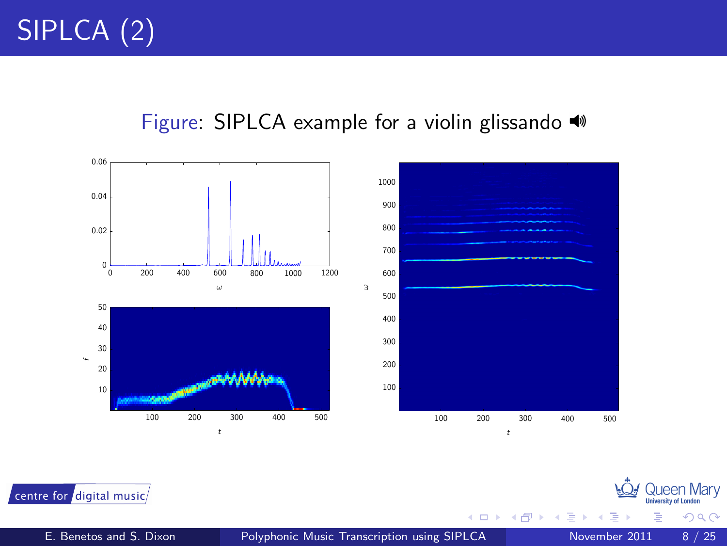#### Figure: SIPLCA example for a violin glissando



centre for digital music

 $\leftarrow$ 

Queen Marv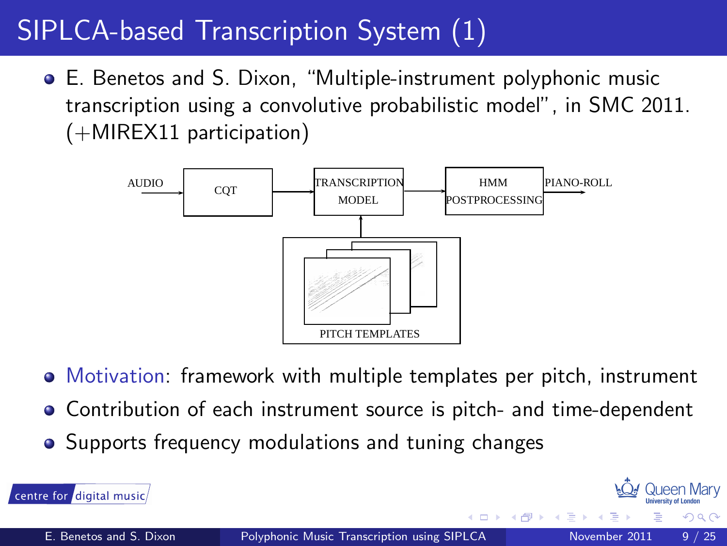## SIPLCA-based Transcription System (1)

E. Benetos and S. Dixon, "Multiple-instrument polyphonic music transcription using a convolutive probabilistic model", in SMC 2011. (+MIREX11 participation)



- Motivation: framework with multiple templates per pitch, instrument
- Contribution of each instrument source is pitch- and time-dependent
- Supports frequency modulations and tuning changes

centre for digital music

**100 Queen Mary** 

<span id="page-8-0"></span> $\Omega$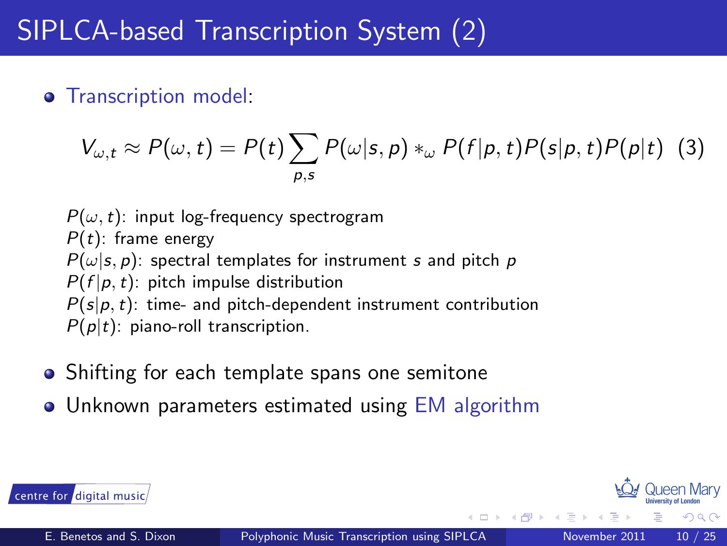#### **o** Transcription model:

$$
V_{\omega,t} \approx P(\omega,t) = P(t) \sum_{p,s} P(\omega|s,p) *_{\omega} P(f|p,t) P(s|p,t) P(p|t) \tag{3}
$$

 $P(\omega, t)$ : input log-frequency spectrogram  $P(t)$ : frame energy  $P(\omega|s, p)$ : spectral templates for instrument s and pitch p  $P(f | p, t)$ : pitch impulse distribution  $P(s|p, t)$ : time- and pitch-dependent instrument contribution  $P(p|t)$ : piano-roll transcription.

- Shifting for each template spans one semitone
- Unknown parameters estimated using EM algorithm



 $\Omega$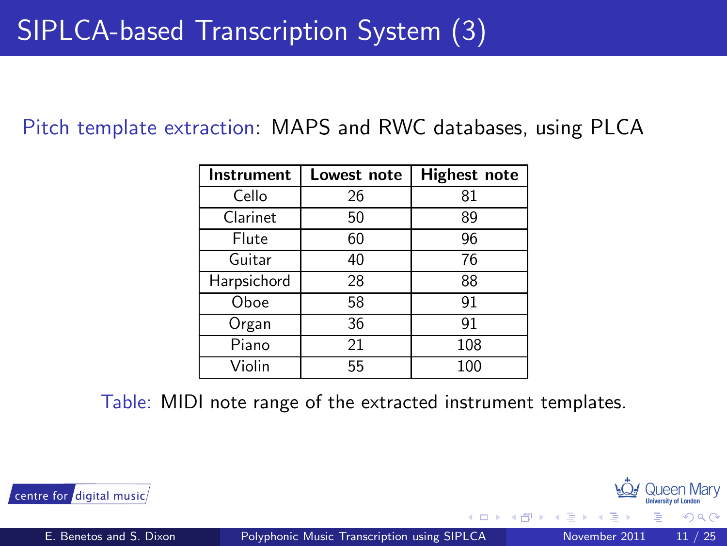Pitch template extraction: MAPS and RWC databases, using PLCA

| Instrument  | Lowest note | <b>Highest note</b> |
|-------------|-------------|---------------------|
| Cello       | 26          | 81                  |
| Clarinet    | 50          | 89                  |
| Flute       | 60          | 96                  |
| Guitar      | 40          | 76                  |
| Harpsichord | 28          | 88                  |
| Oboe        | 58          | 91                  |
| Organ       | 36          | 91                  |
| Piano       | 21          | 108                 |
| Violin      | 55          | 100                 |

Table: MIDI note range of the extracted instrument templates.



**100 Queen Mary** 

 $\Omega$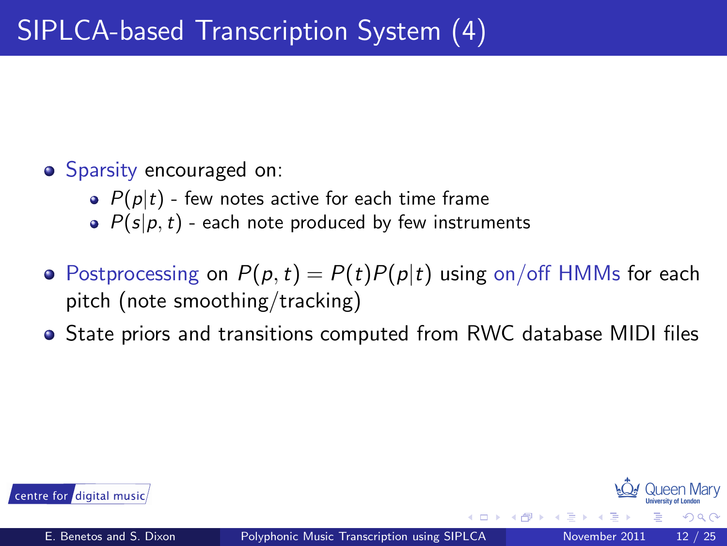#### • Sparsity encouraged on:

- $\bullet$   $P(p|t)$  few notes active for each time frame
- $\bullet$   $P(s|p,t)$  each note produced by few instruments
- Postprocessing on  $P(p, t) = P(t)P(p|t)$  using on/off HMMs for each pitch (note smoothing/tracking)
- State priors and transitions computed from RWC database MIDI files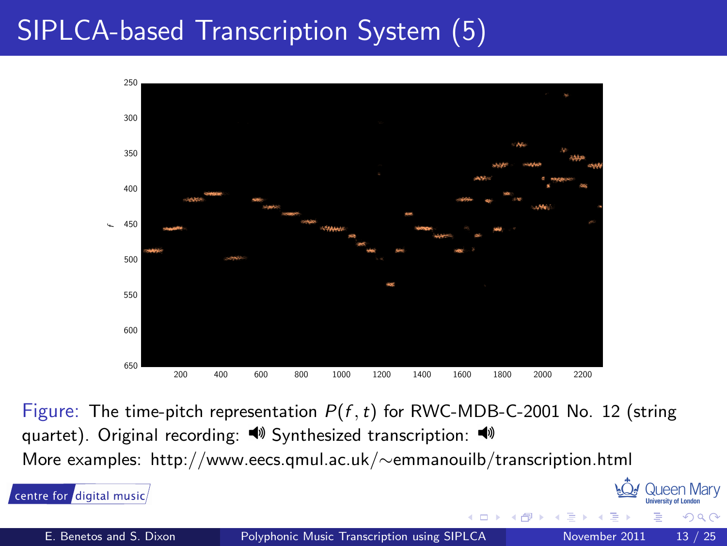## SIPLCA-based Transcription System (5)



Figure: The time-pitch representation  $P(f, t)$  for RWC-MDB-C-2001 No. 12 (string quartet). Original recording:  $\blacklozenge$  Synthesized transcription:  $\blacklozenge$ More examples: http://www.eecs.qmul.ac.uk/∼emmanouilb/transcription.html

**100 Queen Mary** 

 $Q \cap$ 

centre for digital music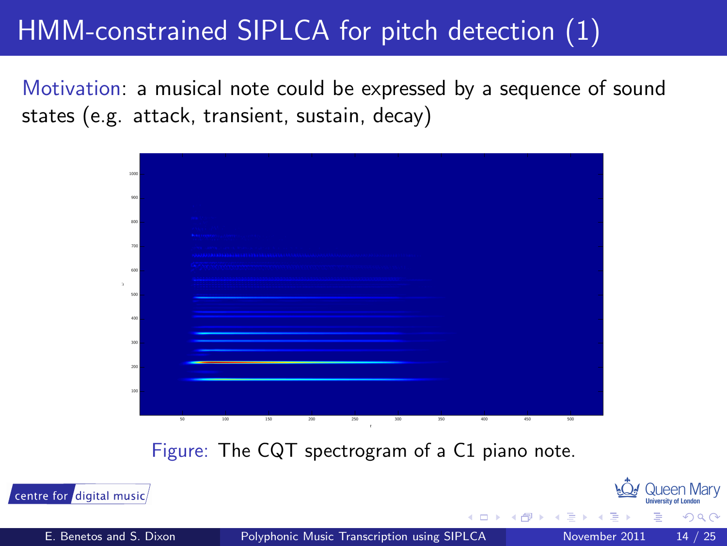## HMM-constrained SIPLCA for pitch detection (1)

Motivation: a musical note could be expressed by a sequence of sound states (e.g. attack, transient, sustain, decay)



Figure: The CQT spectrogram of a C1 piano note.

centre for digital music

<span id="page-13-0"></span>**100 Queen Mary**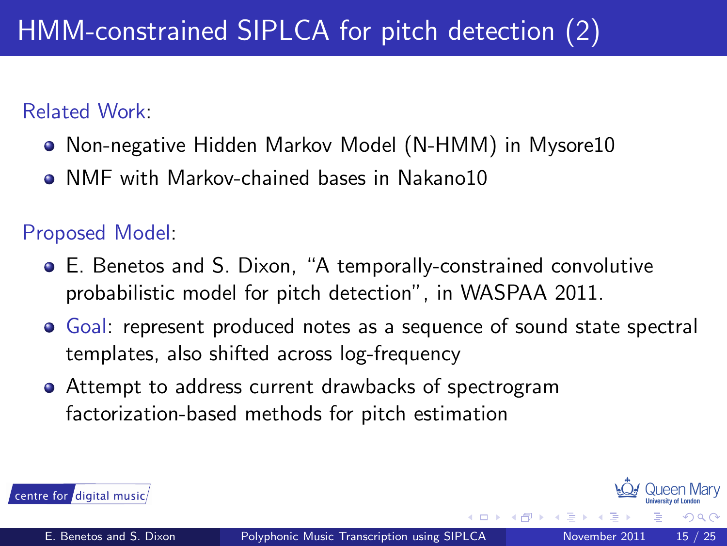#### Related Work:

- Non-negative Hidden Markov Model (N-HMM) in Mysore10
- NMF with Markov-chained bases in Nakano10  $\bullet$

Proposed Model:

- E. Benetos and S. Dixon, "A temporally-constrained convolutive probabilistic model for pitch detection", in WASPAA 2011.
- Goal: represent produced notes as a sequence of sound state spectral templates, also shifted across log-frequency
- Attempt to address current drawbacks of spectrogram factorization-based methods for pitch estimation

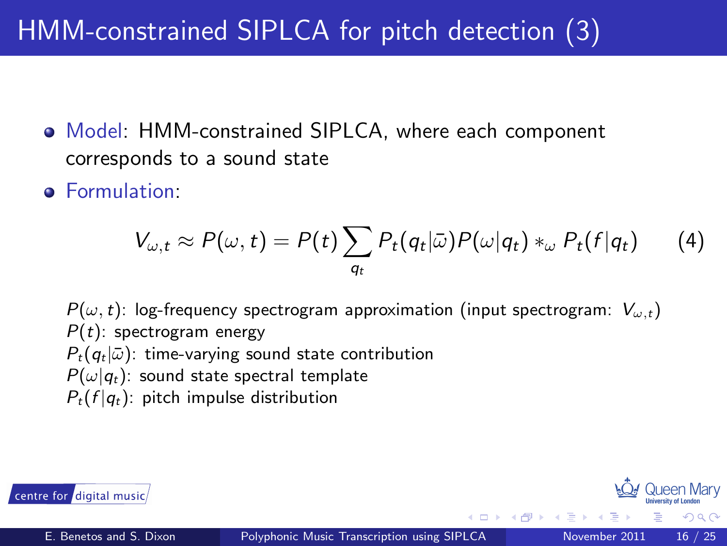## HMM-constrained SIPLCA for pitch detection (3)

- Model: HMM-constrained SIPLCA, where each component corresponds to a sound state
- **•** Formulation:

$$
V_{\omega,t} \approx P(\omega,t) = P(t) \sum_{q_t} P_t(q_t|\bar{\omega}) P(\omega|q_t) *_{\omega} P_t(f|q_t)
$$
 (4)

 $P(\omega, t)$ : log-frequency spectrogram approximation (input spectrogram:  $V_{\omega, t}$ )  $P(t)$ : spectrogram energy  $P_t(q_t|\bar{\omega})$ : time-varying sound state contribution  $P(\omega|q_t)$ : sound state spectral template  $P_t(f | q_t)$ : pitch impulse distribution



 $\Omega$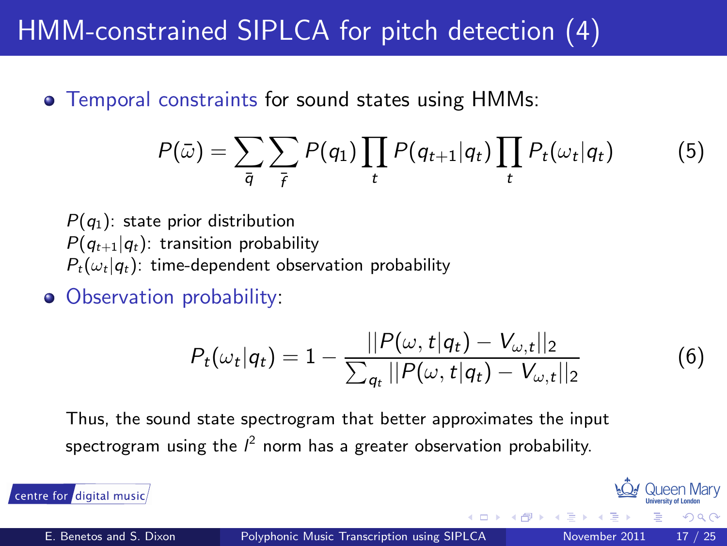### HMM-constrained SIPLCA for pitch detection (4)

**•** Temporal constraints for sound states using HMMs:

$$
P(\bar{\omega}) = \sum_{\bar{q}} \sum_{\bar{r}} P(q_1) \prod_t P(q_{t+1}|q_t) \prod_t P_t(\omega_t|q_t)
$$
(5)

 $P(q_1)$ : state prior distribution  $P(q_{t+1}|q_t)$ : transition probability  $P_t(\omega_t|q_t)$ : time-dependent observation probability

• Observation probability:

$$
P_t(\omega_t|q_t) = 1 - \frac{||P(\omega, t|q_t) - V_{\omega, t}||_2}{\sum_{q_t} ||P(\omega, t|q_t) - V_{\omega, t}||_2}
$$
(6)

Thus, the sound state spectrogram that better approximates the input spectrogram using the  $l^2$  norm has a greater observation probability.

centre for digital music

**100 Queen Mary**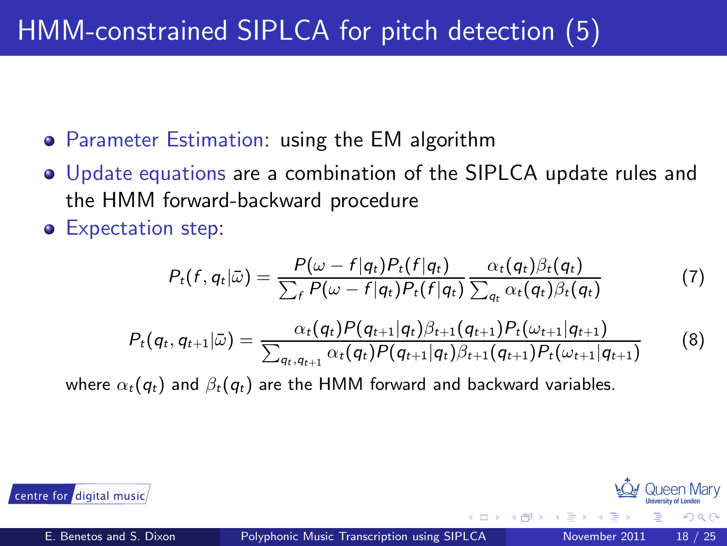- Parameter Estimation: using the EM algorithm
- Update equations are a combination of the SIPLCA update rules and the HMM forward-backward procedure
- **Expectation step:**

$$
P_t(f, q_t|\bar{\omega}) = \frac{P(\omega - f|q_t)P_t(f|q_t)}{\sum_f P(\omega - f|q_t)P_t(f|q_t)} \frac{\alpha_t(q_t)\beta_t(q_t)}{\sum_{q_t} \alpha_t(q_t)\beta_t(q_t)}
$$
(7)

$$
P_t(q_t, q_{t+1}|\bar{\omega}) = \frac{\alpha_t(q_t)P(q_{t+1}|q_t)\beta_{t+1}(q_{t+1})P_t(\omega_{t+1}|q_{t+1})}{\sum_{q_t, q_{t+1}} \alpha_t(q_t)P(q_{t+1}|q_t)\beta_{t+1}(q_{t+1})P_t(\omega_{t+1}|q_{t+1})}
$$
(8)

where  $\alpha_t(q_t)$  and  $\beta_t(q_t)$  are the HMM forward and backward variables.



つQへ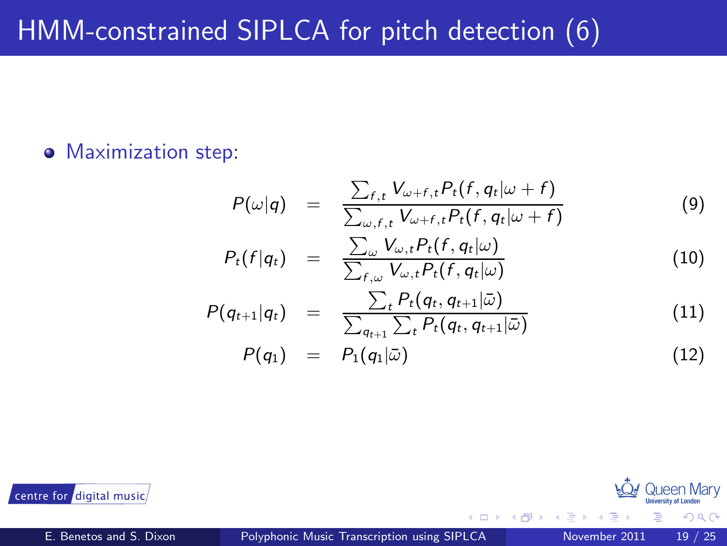#### • Maximization step:

$$
P(\omega|q) = \frac{\sum_{f,t} V_{\omega+f,t} P_t(f,q_t|\omega+f)}{\sum_{\omega,f,t} V_{\omega+f,t} P_t(f,q_t|\omega+f)}
$$
(9)

$$
P_t(f|q_t) = \frac{\sum_{\omega} V_{\omega,t} P_t(f,q_t|\omega)}{\sum_{f,\omega} V_{\omega,t} P_t(f,q_t|\omega)}
$$
(10)

$$
P(q_{t+1}|q_t) = \frac{\sum_t P_t(q_t, q_{t+1}|\bar{\omega})}{\sum_{q_{t+1}} \sum_t P_t(q_t, q_{t+1}|\bar{\omega})}
$$
(11)

$$
P(q_1) = P_1(q_1|\bar{\omega}) \qquad (12)
$$

 $\leftarrow$ 



 $\Omega$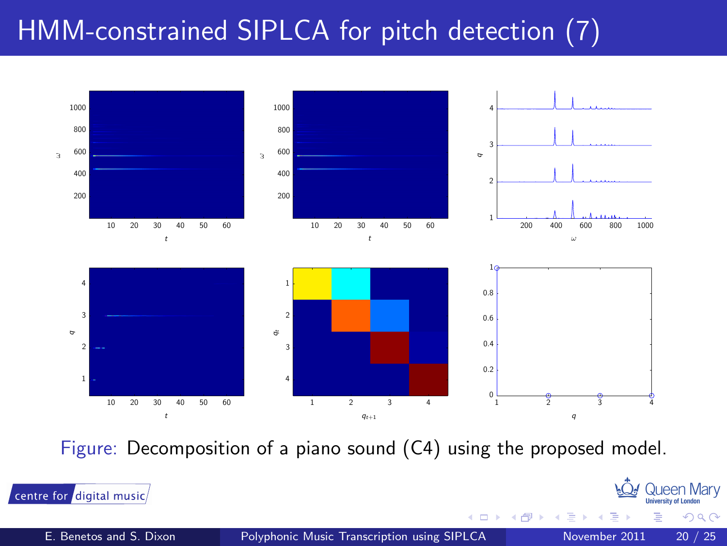## HMM-constrained SIPLCA for pitch detection (7)



Figure: Decomposition of a piano sound (C4) using the proposed model.



centre for digital music

**100 Queen Mary** 

つへへ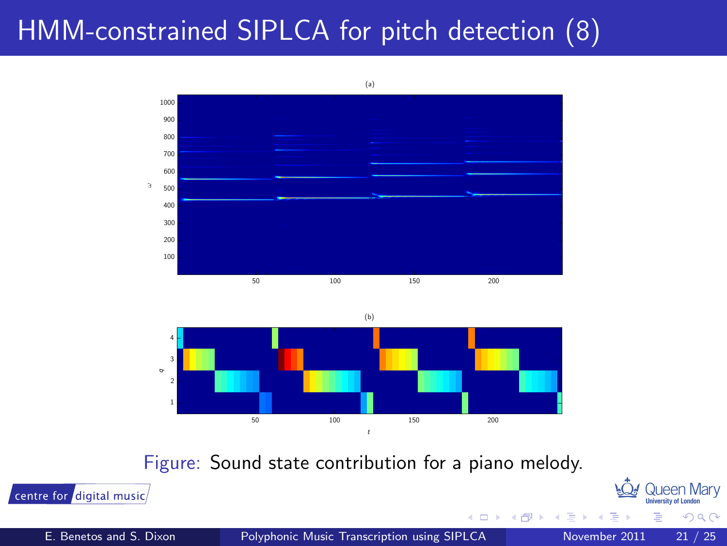### HMM-constrained SIPLCA for pitch detection (8)



Figure: Sound state contribution for a piano melody.



**100 Queen Mary** 

つへへ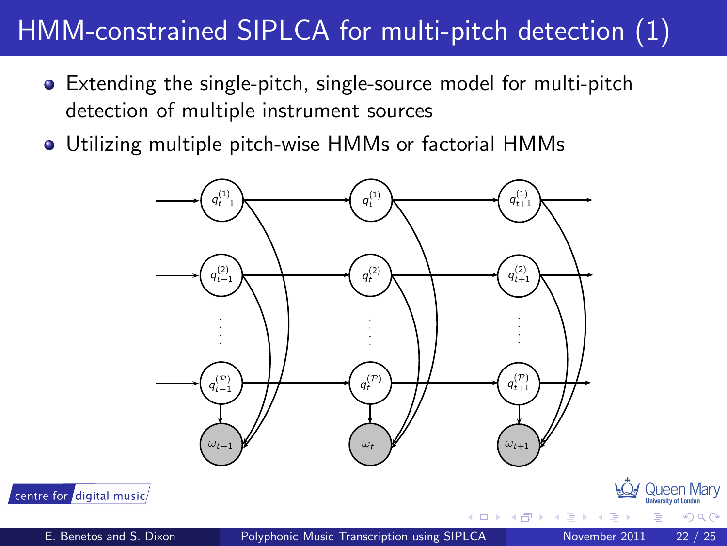## HMM-constrained SIPLCA for multi-pitch detection (1)

- Extending the single-pitch, single-source model for multi-pitch  $\bullet$ detection of multiple instrument sources
- Utilizing multiple pitch-wise HMMs or factorial HMMs



<span id="page-21-0"></span> $\alpha \cap$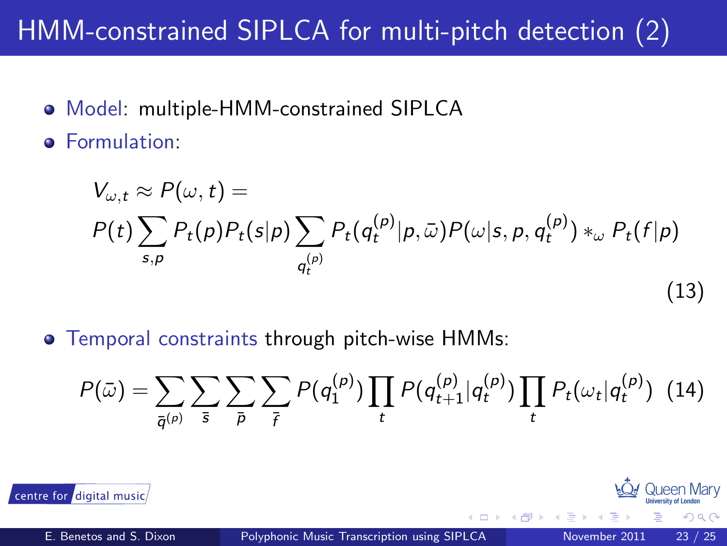# HMM-constrained SIPLCA for multi-pitch detection (2)

- Model: multiple-HMM-constrained SIPLCA  $\bullet$
- Formulation:  $\bullet$

$$
V_{\omega,t} \approx P(\omega, t) =
$$
  
\n
$$
P(t) \sum_{s,p} P_t(p) P_t(s|p) \sum_{q_t^{(p)}} P_t(q_t^{(p)}|p, \bar{\omega}) P(\omega|s, p, q_t^{(p)}) *_{\omega} P_t(f|p)
$$
\n(13)

Temporal constraints through pitch-wise HMMs:

$$
P(\bar{\omega}) = \sum_{\bar{q}^{(p)}} \sum_{\bar{s}} \sum_{\bar{p}} \sum_{\bar{r}} P(q_1^{(p)}) \prod_t P(q_{t+1}^{(p)} | q_t^{(p)}) \prod_t P_t(\omega_t | q_t^{(p)}) \tag{14}
$$

centre for digital music

**100 Queen Mary** 

 $\Omega \cap \Omega$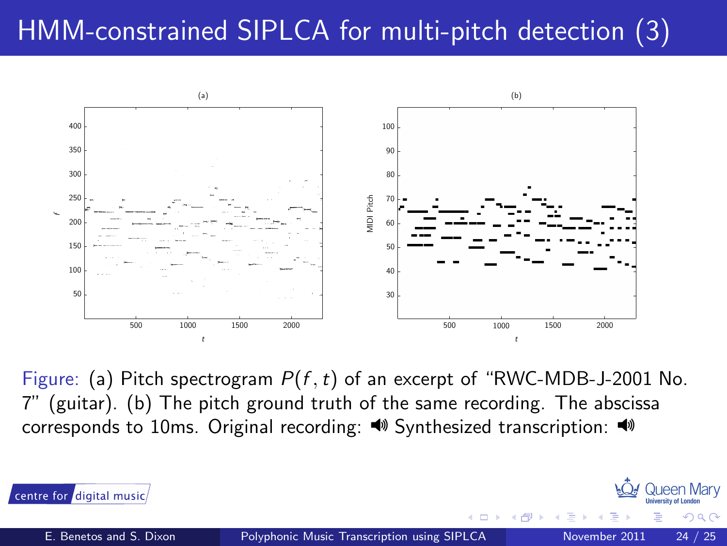## HMM-constrained SIPLCA for multi-pitch detection (3)



Figure: (a) Pitch spectrogram  $P(f, t)$  of an excerpt of "RWC-MDB-J-2001 No. 7" (guitar). (b) The pitch ground truth of the same recording. The abscissa corresponds to 10ms. Original recording:  $\blacklozenge$  Synthesized transcription:  $\blacklozenge$ 



centre for digital music

**100 Queen Mary** 

 $\Omega$   $\Omega$